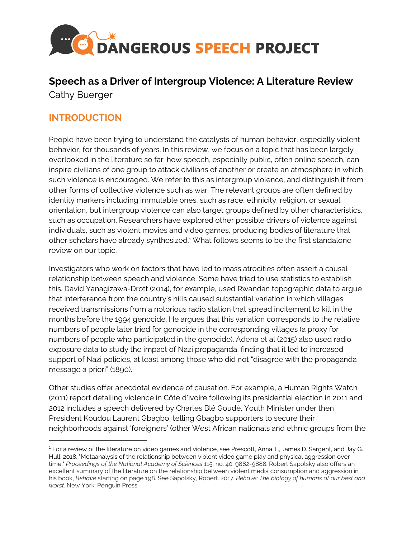

# **Speech as a Driver of Intergroup Violence: A Literature Review**  Cathy Buerger

# **INTRODUCTION**

People have been trying to understand the catalysts of human behavior, especially violent behavior, for thousands of years. In this review, we focus on a topic that has been largely overlooked in the literature so far: how speech, especially public, often online speech, can inspire civilians of one group to attack civilians of another or create an atmosphere in which such violence is encouraged. We refer to this as intergroup violence, and distinguish it from other forms of collective violence such as war. The relevant groups are often defined by identity markers including immutable ones, such as race, ethnicity, religion, or sexual orientation, but intergroup violence can also target groups defined by other characteristics, such as occupation. Researchers have explored other possible drivers of violence against individuals, such as violent movies and video games, producing bodies of literature that other scholars have already synthesized.<sup>1</sup> What follows seems to be the first standalone review on our topic.

Investigators who work on factors that have led to mass atrocities often assert a causal relationship between speech and violence. Some have tried to use statistics to establish this. David Yanagizawa-Drott (2014), for example, used Rwandan topographic data to argue that interference from the country's hills caused substantial variation in which villages received transmissions from a notorious radio station that spread incitement to kill in the months before the 1994 genocide. He argues that this variation corresponds to the relative numbers of people later tried for genocide in the corresponding villages (a proxy for numbers of people who participated in the genocide). Adena et al (2015) also used radio exposure data to study the impact of Nazi propaganda, finding that it led to increased support of Nazi policies, at least among those who did not "disagree with the propaganda message a priori" (1890).

Other studies offer anecdotal evidence of causation. For example, a Human Rights Watch (2011) report detailing violence in Côte d'Ivoire following its presidential election in 2011 and 2012 includes a speech delivered by Charles Blé Goudé, Youth Minister under then President Koudou Laurent Gbagbo, telling Gbagbo supporters to secure their neighborhoods against 'foreigners' (other West African nationals and ethnic groups from the

<sup>&</sup>lt;sup>1</sup> For a review of the literature on video games and violence, see Prescott, Anna T., James D. Sargent, and Jay G. Hull. 2018. "Metaanalysis of the relationship between violent video game play and physical aggression over time." *Proceedings of the National Academy of Sciences* 115, no. 40: 9882-9888. Robert Sapolsky also offers an excellent summary of the literature on the relationship between violent media consumption and aggression in his book, *Behave* starting on page 198. See Sapolsky, Robert. 2017. *Behave: The biology of humans at our best and worst*. New York: Penguin Press.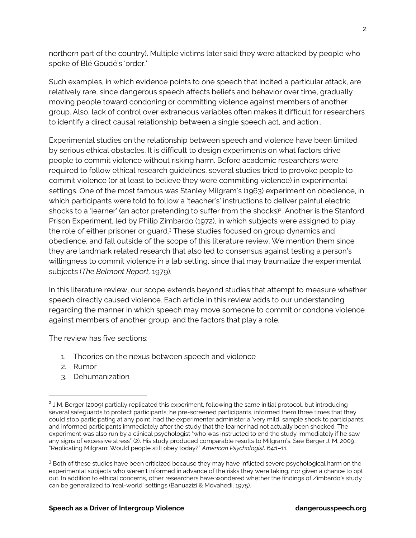northern part of the country). Multiple victims later said they were attacked by people who spoke of Blé Goudé's 'order.'

Such examples, in which evidence points to one speech that incited a particular attack, are relatively rare, since dangerous speech affects beliefs and behavior over time, gradually moving people toward condoning or committing violence against members of another group. Also, lack of control over extraneous variables often makes it difficult for researchers to identify a direct causal relationship between a single speech act, and action..

Experimental studies on the relationship between speech and violence have been limited by serious ethical obstacles. It is difficult to design experiments on what factors drive people to commit violence without risking harm. Before academic researchers were required to follow ethical research guidelines, several studies tried to provoke people to commit violence (or at least to believe they were committing violence) in experimental settings. One of the most famous was Stanley Milgram's (1963) experiment on obedience, in which participants were told to follow a 'teacher's' instructions to deliver painful electric shocks to a 'learner' (an actor pretending to suffer from the shocks)<sup>2</sup>. Another is the Stanford Prison Experiment, led by Philip Zimbardo (1972), in which subjects were assigned to play the role of either prisoner or guard.<sup>3</sup> These studies focused on group dynamics and obedience, and fall outside of the scope of this literature review. We mention them since they are landmark related research that also led to consensus against testing a person's willingness to commit violence in a lab setting, since that may traumatize the experimental subjects (*The Belmont Report,* 1979).

In this literature review, our scope extends beyond studies that attempt to measure whether speech directly caused violence. Each article in this review adds to our understanding regarding the manner in which speech may move someone to commit or condone violence against members of another group, and the factors that play a role.

The review has five sections:

- 1. Theories on the nexus between speech and violence
- 2. Rumor
- 3. Dehumanization

<sup>&</sup>lt;sup>2</sup> J.M. Berger (2009) partially replicated this experiment, following the same initial protocol, but introducing several safeguards to protect participants; he pre-screened participants, informed them three times that they could stop participating at any point, had the experimenter administer a 'very mild' sample shock to participants, and informed participants immediately after the study that the learner had not actually been shocked. The experiment was also run by a clinical psychologist "who was instructed to end the study immediately if he saw any signs of excessive stress" (2). His study produced comparable results to Milgram's. See Berger J. M. 2009. "Replicating Milgram: Would people still obey today?" *American Psychologist.* 64:1–11.

<sup>&</sup>lt;sup>3</sup> Both of these studies have been criticized because they may have inflicted severe psychological harm on the experimental subjects who weren't informed in advance of the risks they were taking, nor given a chance to opt out. In addition to ethical concerns, other researchers have wondered whether the findings of Zimbardo's study can be generalized to 'real-world' settings (Banuazizi & Movahedi, 1975).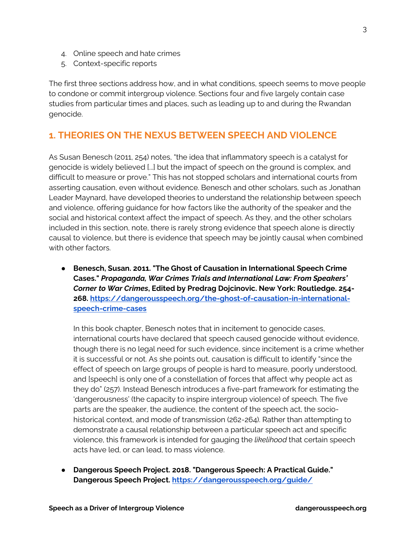- 4. Online speech and hate crimes
- 5. Context-specific reports

The first three sections address how, and in what conditions, speech seems to move people to condone or commit intergroup violence. Sections four and five largely contain case studies from particular times and places, such as leading up to and during the Rwandan genocide.

# **1. THEORIES ON THE NEXUS BETWEEN SPEECH AND VIOLENCE**

As Susan Benesch (2011, 254) notes, "the idea that inflammatory speech is a catalyst for genocide is widely believed [...] but the impact of speech on the ground is complex, and difficult to measure or prove." This has not stopped scholars and international courts from asserting causation, even without evidence. Benesch and other scholars, such as Jonathan Leader Maynard, have developed theories to understand the relationship between speech and violence, offering guidance for how factors like the authority of the speaker and the social and historical context affect the impact of speech. As they, and the other scholars included in this section, note, there is rarely strong evidence that speech alone is directly causal to violence, but there is evidence that speech may be jointly causal when combined with other factors.

● **Benesch, Susan. 2011. "The Ghost of Causation in International Speech Crime Cases."** *Propaganda, War Crimes Trials and International Law: From Speakers' Corner to War Crimes***, Edited by Predrag Dojcinovic. New York: Routledge. 254- 268. https://dangerousspeech.org/the-ghost-of-causation-in-internationalspeech-crime-cases** 

In this book chapter, Benesch notes that in incitement to genocide cases, international courts have declared that speech caused genocide without evidence, though there is no legal need for such evidence, since incitement is a crime whether it is successful or not. As she points out, causation is difficult to identify "since the effect of speech on large groups of people is hard to measure, poorly understood, and [speech] is only one of a constellation of forces that affect why people act as they do" (257). Instead Benesch introduces a five-part framework for estimating the 'dangerousness' (the capacity to inspire intergroup violence) of speech. The five parts are the speaker, the audience, the content of the speech act, the sociohistorical context, and mode of transmission (262-264). Rather than attempting to demonstrate a causal relationship between a particular speech act and specific violence, this framework is intended for gauging the *likelihood* that certain speech acts have led, or can lead, to mass violence.

● **Dangerous Speech Project. 2018. "Dangerous Speech: A Practical Guide." Dangerous Speech Project. https://dangerousspeech.org/guide/**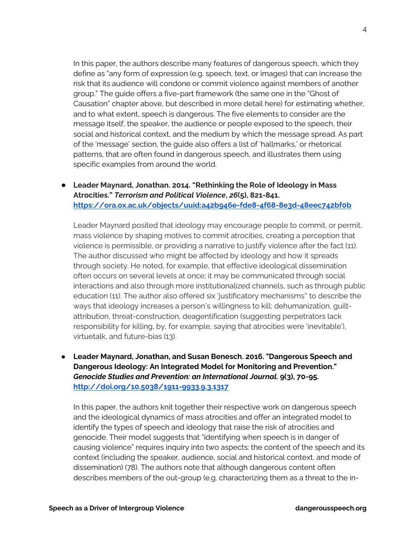In this paper, the authors describe many features of dangerous speech, which they define as "any form of expression (e.g. speech, text, or images) that can increase the risk that its audience will condone or commit violence against members of another group." The guide offers a five-part framework (the same one in the "Ghost of Causation" chapter above, but described in more detail here) for estimating whether, and to what extent, speech is dangerous. The five elements to consider are the message itself, the speaker, the audience or people exposed to the speech, their social and historical context, and the medium by which the message spread. As part of the 'message' section, the guide also offers a list of 'hallmarks,' or rhetorical patterns, that are often found in dangerous speech, and illustrates them using specific examples from around the world.

● **Leader Maynard, Jonathan. 2014. "Rethinking the Role of Ideology in Mass Atrocities."** *Terrorism and Political Violence***,** *26***(5), 821-841. https://ora.ox.ac.uk/objects/uuid:a42b946e-fde8-4f68-8e3d-48eec742bf0b**

Leader Maynard posited that ideology may encourage people to commit, or permit, mass violence by shaping motives to commit atrocities, creating a perception that violence is permissible, or providing a narrative to justify violence after the fact (11). The author discussed who might be affected by ideology and how it spreads through society. He noted, for example, that effective ideological dissemination often occurs on several levels at once; it may be communicated through social interactions and also through more institutionalized channels, such as through public education (11). The author also offered six 'justificatory mechanisms'' to describe the ways that ideology increases a person's willingness to kill: dehumanization, guiltattribution, threat-construction, deagentification (suggesting perpetrators lack responsibility for killing, by, for example, saying that atrocities were 'inevitable'), virtuetalk, and future-bias (13).

● **Leader Maynard, Jonathan, and Susan Benesch. 2016. "Dangerous Speech and Dangerous Ideology: An Integrated Model for Monitoring and Prevention."**  *Genocide Studies and Prevention: an International Journal.* **9(3), 70-95. http://doi.org/10.5038/1911-9933.9.3.1317**

In this paper, the authors knit together their respective work on dangerous speech and the ideological dynamics of mass atrocities and offer an integrated model to identify the types of speech and ideology that raise the risk of atrocities and genocide. Their model suggests that "identifying when speech is in danger of causing violence" requires inquiry into two aspects: the content of the speech and its context (including the speaker, audience, social and historical context, and mode of dissemination) (78). The authors note that although dangerous content often describes members of the out-group (e.g. characterizing them as a threat to the in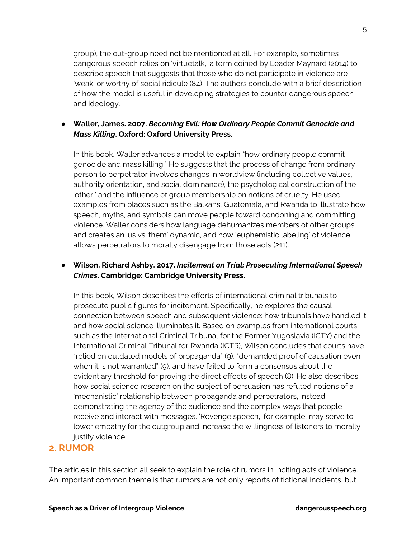group), the out-group need not be mentioned at all. For example, sometimes dangerous speech relies on 'virtuetalk,' a term coined by Leader Maynard (2014) to describe speech that suggests that those who do not participate in violence are 'weak' or worthy of social ridicule (84). The authors conclude with a brief description of how the model is useful in developing strategies to counter dangerous speech and ideology.

### ● **Waller, James. 2007.** *Becoming Evil: How Ordinary People Commit Genocide and Mass Killing***. Oxford: Oxford University Press.**

In this book, Waller advances a model to explain "how ordinary people commit genocide and mass killing." He suggests that the process of change from ordinary person to perpetrator involves changes in worldview (including collective values, authority orientation, and social dominance), the psychological construction of the 'other,' and the influence of group membership on notions of cruelty. He used examples from places such as the Balkans, Guatemala, and Rwanda to illustrate how speech, myths, and symbols can move people toward condoning and committing violence. Waller considers how language dehumanizes members of other groups and creates an 'us vs. them' dynamic, and how 'euphemistic labeling' of violence allows perpetrators to morally disengage from those acts (211).

### ● **Wilson, Richard Ashby. 2017.** *Incitement on Trial: Prosecuting International Speech Crimes***. Cambridge: Cambridge University Press.**

In this book, Wilson describes the efforts of international criminal tribunals to prosecute public figures for incitement. Specifically, he explores the causal connection between speech and subsequent violence: how tribunals have handled it and how social science illuminates it. Based on examples from international courts such as the International Criminal Tribunal for the Former Yugoslavia (ICTY) and the International Criminal Tribunal for Rwanda (ICTR), Wilson concludes that courts have "relied on outdated models of propaganda" (9), "demanded proof of causation even when it is not warranted" (9), and have failed to form a consensus about the evidentiary threshold for proving the direct effects of speech (8). He also describes how social science research on the subject of persuasion has refuted notions of a 'mechanistic' relationship between propaganda and perpetrators, instead demonstrating the agency of the audience and the complex ways that people receive and interact with messages. 'Revenge speech,' for example, may serve to lower empathy for the outgroup and increase the willingness of listeners to morally justify violence.

## **2. RUMOR**

The articles in this section all seek to explain the role of rumors in inciting acts of violence. An important common theme is that rumors are not only reports of fictional incidents, but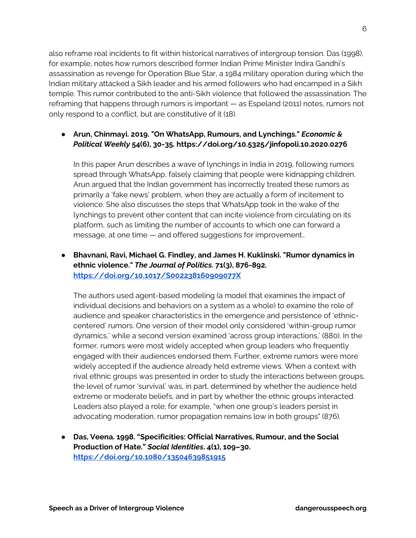also reframe real incidents to fit within historical narratives of intergroup tension. Das (1998), for example, notes how rumors described former Indian Prime Minister Indira Gandhi's assassination as revenge for Operation Blue Star, a 1984 military operation during which the Indian military attacked a Sikh leader and his armed followers who had encamped in a Sikh temple. This rumor contributed to the anti-Sikh violence that followed the assassination. The reframing that happens through rumors is important — as Espeland (2011) notes, rumors not only respond to a conflict, but are constitutive of it (18).

## ● **Arun, Chinmayi. 2019. "On WhatsApp, Rumours, and Lynchings."** *Economic & Political Weekly* **54(6), 30-35. https://doi.org/10.5325/jinfopoli.10.2020.0276**

In this paper Arun describes a wave of lynchings in India in 2019, following rumors spread through WhatsApp, falsely claiming that people were kidnapping children. Arun argued that the Indian government has incorrectly treated these rumors as primarily a 'fake news' problem, when they are actually a form of incitement to violence. She also discusses the steps that WhatsApp took in the wake of the lynchings to prevent other content that can incite violence from circulating on its platform, such as limiting the number of accounts to which one can forward a message, at one time — and offered suggestions for improvement..

## ● **Bhavnani, Ravi, Michael G. Findley, and James H. Kuklinski. "Rumor dynamics in ethnic violence."** *The Journal of Politics.* **71(3), 876-892. https://doi.org/10.1017/S002238160909077X**

The authors used agent-based modeling (a model that examines the impact of individual decisions and behaviors on a system as a whole) to examine the role of audience and speaker characteristics in the emergence and persistence of 'ethniccentered' rumors. One version of their model only considered 'within-group rumor dynamics,' while a second version examined 'across group interactions,' (880). In the former, rumors were most widely accepted when group leaders who frequently engaged with their audiences endorsed them. Further, extreme rumors were more widely accepted if the audience already held extreme views. When a context with rival ethnic groups was presented in order to study the interactions between groups, the level of rumor 'survival' was, in part, determined by whether the audience held extreme or moderate beliefs, and in part by whether the ethnic groups interacted. Leaders also played a role; for example, "when one group's leaders persist in advocating moderation, rumor propagation remains low in both groups" (876).

● **Das, Veena. 1998. "Specificities: Official Narratives, Rumour, and the Social Production of Hate."** *Social Identities***. 4(1), 109–30. https://doi.org/10.1080/13504639851915**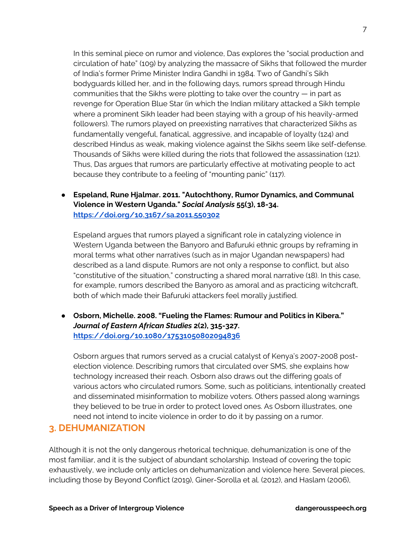In this seminal piece on rumor and violence, Das explores the "social production and circulation of hate" (109) by analyzing the massacre of Sikhs that followed the murder of India's former Prime Minister Indira Gandhi in 1984. Two of Gandhi's Sikh bodyguards killed her, and in the following days, rumors spread through Hindu communities that the Sikhs were plotting to take over the country — in part as revenge for Operation Blue Star (in which the Indian military attacked a Sikh temple where a prominent Sikh leader had been staying with a group of his heavily-armed followers). The rumors played on preexisting narratives that characterized Sikhs as fundamentally vengeful, fanatical, aggressive, and incapable of loyalty (124) and described Hindus as weak, making violence against the Sikhs seem like self-defense. Thousands of Sikhs were killed during the riots that followed the assassination (121). Thus, Das argues that rumors are particularly effective at motivating people to act because they contribute to a feeling of "mounting panic" (117).

● **Espeland, Rune Hjalmar. 2011. "Autochthony, Rumor Dynamics, and Communal Violence in Western Uganda."** *Social Analysis* **55(3), 18-34. https://doi.org/10.3167/sa.2011.550302** 

Espeland argues that rumors played a significant role in catalyzing violence in Western Uganda between the Banyoro and Bafuruki ethnic groups by reframing in moral terms what other narratives (such as in major Ugandan newspapers) had described as a land dispute. Rumors are not only a response to conflict, but also "constitutive of the situation," constructing a shared moral narrative (18). In this case, for example, rumors described the Banyoro as amoral and as practicing witchcraft, both of which made their Bafuruki attackers feel morally justified.

● **Osborn, Michelle. 2008. "Fueling the Flames: Rumour and Politics in Kibera."**  *Journal of Eastern African Studies* **2(2), 315-327. https://doi.org/10.1080/17531050802094836** 

Osborn argues that rumors served as a crucial catalyst of Kenya's 2007-2008 postelection violence. Describing rumors that circulated over SMS, she explains how technology increased their reach. Osborn also draws out the differing goals of various actors who circulated rumors. Some, such as politicians, intentionally created and disseminated misinformation to mobilize voters. Others passed along warnings they believed to be true in order to protect loved ones. As Osborn illustrates, one need not intend to incite violence in order to do it by passing on a rumor.

## **3. DEHUMANIZATION**

Although it is not the only dangerous rhetorical technique, dehumanization is one of the most familiar, and it is the subject of abundant scholarship. Instead of covering the topic exhaustively, we include only articles on dehumanization and violence here. Several pieces, including those by Beyond Conflict (2019), Giner-Sorolla et al. (2012), and Haslam (2006),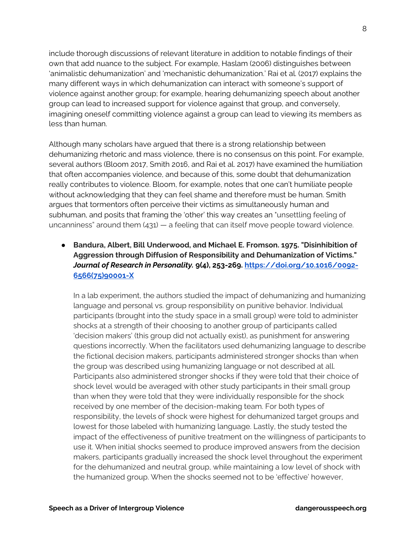include thorough discussions of relevant literature in addition to notable findings of their own that add nuance to the subject. For example, Haslam (2006) distinguishes between 'animalistic dehumanization' and 'mechanistic dehumanization.' Rai et al. (2017) explains the many different ways in which dehumanization can interact with someone's support of violence against another group; for example, hearing dehumanizing speech about another group can lead to increased support for violence against that group, and conversely, imagining oneself committing violence against a group can lead to viewing its members as less than human.

Although many scholars have argued that there is a strong relationship between dehumanizing rhetoric and mass violence, there is no consensus on this point. For example, several authors (Bloom 2017, Smith 2016, and Rai et al. 2017) have examined the humiliation that often accompanies violence, and because of this, some doubt that dehumanization really contributes to violence. Bloom, for example, notes that one can't humiliate people without acknowledging that they can feel shame and therefore must be human. Smith argues that tormentors often perceive their victims as simultaneously human and subhuman, and posits that framing the 'other' this way creates an "unsettling feeling of uncanniness" around them  $(431)$   $-$  a feeling that can itself move people toward violence.

● **Bandura, Albert, Bill Underwood, and Michael E. Fromson. 1975. "Disinhibition of Aggression through Diffusion of Responsibility and Dehumanization of Victims."**  *Journal of Research in Personality.* **9(4), 253-269. https://doi.org/10.1016/0092- 6566(75)90001-X**

In a lab experiment, the authors studied the impact of dehumanizing and humanizing language and personal vs. group responsibility on punitive behavior. Individual participants (brought into the study space in a small group) were told to administer shocks at a strength of their choosing to another group of participants called 'decision makers' (this group did not actually exist), as punishment for answering questions incorrectly. When the facilitators used dehumanizing language to describe the fictional decision makers, participants administered stronger shocks than when the group was described using humanizing language or not described at all. Participants also administered stronger shocks if they were told that their choice of shock level would be averaged with other study participants in their small group than when they were told that they were individually responsible for the shock received by one member of the decision-making team. For both types of responsibility, the levels of shock were highest for dehumanized target groups and lowest for those labeled with humanizing language. Lastly, the study tested the impact of the effectiveness of punitive treatment on the willingness of participants to use it. When initial shocks seemed to produce improved answers from the decision makers, participants gradually increased the shock level throughout the experiment for the dehumanized and neutral group, while maintaining a low level of shock with the humanized group. When the shocks seemed not to be 'effective' however,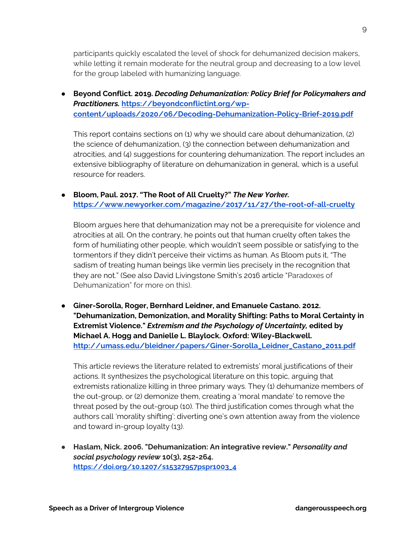participants quickly escalated the level of shock for dehumanized decision makers, while letting it remain moderate for the neutral group and decreasing to a low level for the group labeled with humanizing language.

● **Beyond Conflict. 2019.** *Decoding Dehumanization: Policy Brief for Policymakers and Practitioners.* **https://beyondconflictint.org/wpcontent/uploads/2020/06/Decoding-Dehumanization-Policy-Brief-2019.pdf** 

This report contains sections on (1) why we should care about dehumanization, (2) the science of dehumanization, (3) the connection between dehumanization and atrocities, and (4) suggestions for countering dehumanization. The report includes an extensive bibliography of literature on dehumanization in general, which is a useful resource for readers.

#### ● **Bloom, Paul. 2017. "The Root of All Cruelty?"** *The New Yorker.*  **https://www.newyorker.com/magazine/2017/11/27/the-root-of-all-cruelty**

Bloom argues here that dehumanization may not be a prerequisite for violence and atrocities at all. On the contrary, he points out that human cruelty often takes the form of humiliating other people, which wouldn't seem possible or satisfying to the tormentors if they didn't perceive their victims as human. As Bloom puts it, "The sadism of treating human beings like vermin lies precisely in the recognition that they are not." (See also David Livingstone Smith's 2016 article "Paradoxes of Dehumanization" for more on this).

● **Giner-Sorolla, Roger, Bernhard Leidner, and Emanuele Castano. 2012. "Dehumanization, Demonization, and Morality Shifting: Paths to Moral Certainty in Extremist Violence."** *Extremism and the Psychology of Uncertainty,* **edited by Michael A. Hogg and Danielle L. Blaylock. Oxford: Wiley-Blackwell. http://umass.edu/bleidner/papers/Giner-Sorolla\_Leidner\_Castano\_2011.pdf**

This article reviews the literature related to extremists' moral justifications of their actions. It synthesizes the psychological literature on this topic, arguing that extremists rationalize killing in three primary ways. They (1) dehumanize members of the out-group, or (2) demonize them, creating a 'moral mandate' to remove the threat posed by the out-group (10). The third justification comes through what the authors call 'morality shifting': diverting one's own attention away from the violence and toward in-group loyalty (13).

● **Haslam, Nick. 2006. "Dehumanization: An integrative review."** *Personality and social psychology review* **10(3), 252-264. https://doi.org/10.1207/s15327957pspr1003\_4**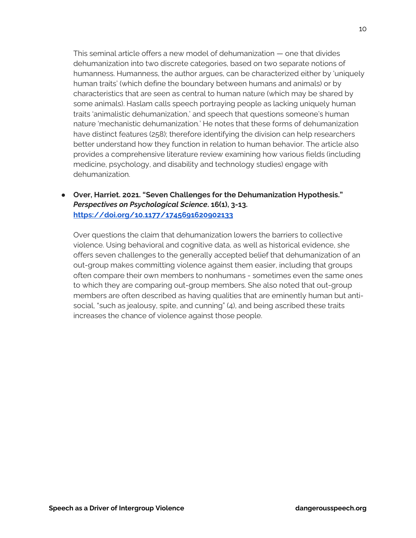This seminal article offers a new model of dehumanization — one that divides dehumanization into two discrete categories, based on two separate notions of humanness. Humanness, the author argues, can be characterized either by 'uniquely human traits' (which define the boundary between humans and animals) or by characteristics that are seen as central to human nature (which may be shared by some animals). Haslam calls speech portraying people as lacking uniquely human traits 'animalistic dehumanization,' and speech that questions someone's human nature 'mechanistic dehumanization.' He notes that these forms of dehumanization have distinct features (258); therefore identifying the division can help researchers better understand how they function in relation to human behavior. The article also provides a comprehensive literature review examining how various fields (including medicine, psychology, and disability and technology studies) engage with dehumanization.

● **Over, Harriet. 2021. "Seven Challenges for the Dehumanization Hypothesis."**  *Perspectives on Psychological Science***. 16(1), 3-13. https://doi.org/10.1177/1745691620902133** 

Over questions the claim that dehumanization lowers the barriers to collective violence. Using behavioral and cognitive data, as well as historical evidence, she offers seven challenges to the generally accepted belief that dehumanization of an out-group makes committing violence against them easier, including that groups often compare their own members to nonhumans - sometimes even the same ones to which they are comparing out-group members. She also noted that out-group members are often described as having qualities that are eminently human but antisocial, "such as jealousy, spite, and cunning" (4), and being ascribed these traits increases the chance of violence against those people.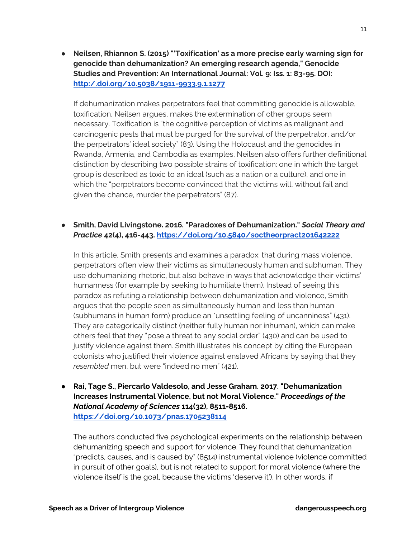● **Neilsen, Rhiannon S. (2015) "'Toxification' as a more precise early warning sign for genocide than dehumanization? An emerging research agenda," Genocide Studies and Prevention: An International Journal: Vol. 9: Iss. 1: 83-95. DOI: http:/.doi.org/10.5038/1911-9933.9.1.1277**

If dehumanization makes perpetrators feel that committing genocide is allowable, toxification, Neilsen argues, makes the extermination of other groups seem necessary. Toxification is "the cognitive perception of victims as malignant and carcinogenic pests that must be purged for the survival of the perpetrator, and/or the perpetrators' ideal society" (83). Using the Holocaust and the genocides in Rwanda, Armenia, and Cambodia as examples, Neilsen also offers further definitional distinction by describing two possible strains of toxification: one in which the target group is described as toxic to an ideal (such as a nation or a culture), and one in which the "perpetrators become convinced that the victims will, without fail and given the chance, murder the perpetrators" (87).

#### ● **Smith, David Livingstone. 2016. "Paradoxes of Dehumanization."** *Social Theory and Practice* **42(4), 416-443. https://doi.org/10.5840/soctheorpract201642222**

In this article, Smith presents and examines a paradox: that during mass violence, perpetrators often view their victims as simultaneously human and subhuman. They use dehumanizing rhetoric, but also behave in ways that acknowledge their victims' humanness (for example by seeking to humiliate them). Instead of seeing this paradox as refuting a relationship between dehumanization and violence, Smith argues that the people seen as simultaneously human and less than human (subhumans in human form) produce an "unsettling feeling of uncanniness" (431). They are categorically distinct (neither fully human nor inhuman), which can make others feel that they "pose a threat to any social order" (430) and can be used to justify violence against them. Smith illustrates his concept by citing the European colonists who justified their violence against enslaved Africans by saying that they *resembled* men, but were "indeed no men" (421).

● **Rai, Tage S., Piercarlo Valdesolo, and Jesse Graham. 2017. "Dehumanization Increases Instrumental Violence, but not Moral Violence."** *Proceedings of the National Academy of Sciences* **114(32), 8511-8516. https://doi.org/10.1073/pnas.1705238114**

The authors conducted five psychological experiments on the relationship between dehumanizing speech and support for violence. They found that dehumanization "predicts, causes, and is caused by" (8514) instrumental violence (violence committed in pursuit of other goals), but is not related to support for moral violence (where the violence itself is the goal, because the victims 'deserve it'). In other words, if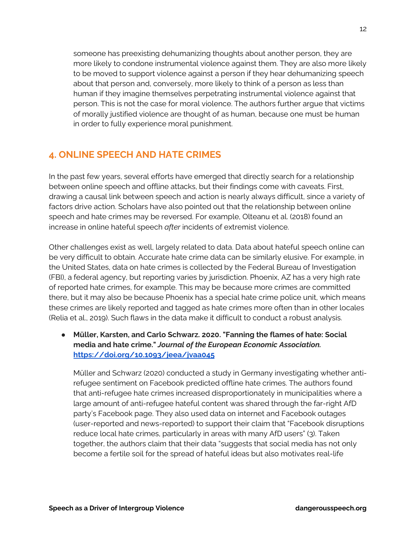someone has preexisting dehumanizing thoughts about another person, they are more likely to condone instrumental violence against them. They are also more likely to be moved to support violence against a person if they hear dehumanizing speech about that person and, conversely, more likely to think of a person as less than human if they imagine themselves perpetrating instrumental violence against that person. This is not the case for moral violence. The authors further argue that victims of morally justified violence are thought of as human, because one must be human in order to fully experience moral punishment.

# **4. ONLINE SPEECH AND HATE CRIMES**

In the past few years, several efforts have emerged that directly search for a relationship between online speech and offline attacks, but their findings come with caveats. First, drawing a causal link between speech and action is nearly always difficult, since a variety of factors drive action. Scholars have also pointed out that the relationship between online speech and hate crimes may be reversed. For example, Olteanu et al. (2018) found an increase in online hateful speech *after* incidents of extremist violence.

Other challenges exist as well, largely related to data. Data about hateful speech online can be very difficult to obtain. Accurate hate crime data can be similarly elusive. For example, in the United States, data on hate crimes is collected by the Federal Bureau of Investigation (FBI), a federal agency, but reporting varies by jurisdiction. Phoenix, AZ has a very high rate of reported hate crimes, for example. This may be because more crimes are committed there, but it may also be because Phoenix has a special hate crime police unit, which means these crimes are likely reported and tagged as hate crimes more often than in other locales (Relia et al., 2019). Such flaws in the data make it difficult to conduct a robust analysis.

● **Müller, Karsten, and Carlo Schwarz. 2020. "Fanning the flames of hate: Social media and hate crime."** *Journal of the European Economic Association.*  **https://doi.org/10.1093/jeea/jvaa045**

Müller and Schwarz (2020) conducted a study in Germany investigating whether antirefugee sentiment on Facebook predicted offline hate crimes. The authors found that anti-refugee hate crimes increased disproportionately in municipalities where a large amount of anti-refugee hateful content was shared through the far-right AfD party's Facebook page. They also used data on internet and Facebook outages (user-reported and news-reported) to support their claim that "Facebook disruptions reduce local hate crimes, particularly in areas with many AfD users" (3). Taken together, the authors claim that their data "suggests that social media has not only become a fertile soil for the spread of hateful ideas but also motivates real-life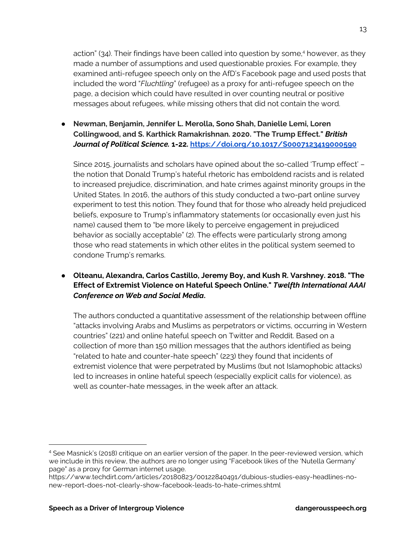action" (34). Their findings have been called into question by some,<sup>4</sup> however, as they made a number of assumptions and used questionable proxies. For example, they examined anti-refugee speech only on the AfD's Facebook page and used posts that included the word "*Fluchtling*" (refugee) as a proxy for anti-refugee speech on the page, a decision which could have resulted in over counting neutral or positive messages about refugees, while missing others that did not contain the word.

● **Newman, Benjamin, Jennifer L. Merolla, Sono Shah, Danielle Lemi, Loren Collingwood, and S. Karthick Ramakrishnan. 2020. "The Trump Effect."** *British Journal of Political Science.* **1-22. https://doi.org/10.1017/S0007123419000590**

Since 2015, journalists and scholars have opined about the so-called 'Trump effect' – the notion that Donald Trump's hateful rhetoric has emboldend racists and is related to increased prejudice, discrimination, and hate crimes against minority groups in the United States. In 2016, the authors of this study conducted a two-part online survey experiment to test this notion. They found that for those who already held prejudiced beliefs, exposure to Trump's inflammatory statements (or occasionally even just his name) caused them to "be more likely to perceive engagement in prejudiced behavior as socially acceptable" (2). The effects were particularly strong among those who read statements in which other elites in the political system seemed to condone Trump's remarks.

### ● **Olteanu, Alexandra, Carlos Castillo, Jeremy Boy, and Kush R. Varshney. 2018. "The Effect of Extremist Violence on Hateful Speech Online."** *Twelfth International AAAI Conference on Web and Social Media***.**

The authors conducted a quantitative assessment of the relationship between offline "attacks involving Arabs and Muslims as perpetrators or victims, occurring in Western countries" (221) and online hateful speech on Twitter and Reddit. Based on a collection of more than 150 million messages that the authors identified as being "related to hate and counter-hate speech" (223) they found that incidents of extremist violence that were perpetrated by Muslims (but not Islamophobic attacks) led to increases in online hateful speech (especially explicit calls for violence), as well as counter-hate messages, in the week after an attack.

<sup>4</sup> See Masnick's (2018) critique on an earlier version of the paper. In the peer-reviewed version, which we include in this review, the authors are no longer using "Facebook likes of the 'Nutella Germany' page" as a proxy for German internet usage.

https://www.techdirt.com/articles/20180823/00122840491/dubious-studies-easy-headlines-nonew-report-does-not-clearly-show-facebook-leads-to-hate-crimes.shtml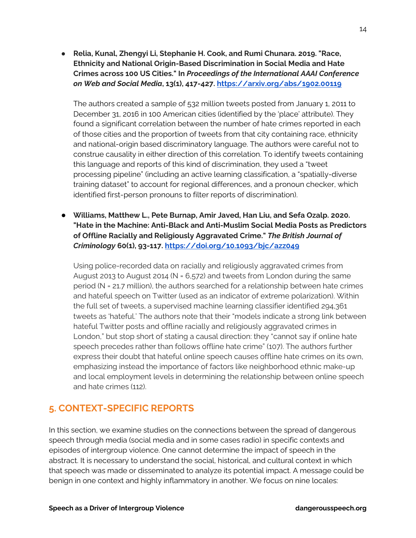● **Relia, Kunal, Zhengyi Li, Stephanie H. Cook, and Rumi Chunara. 2019. "Race, Ethnicity and National Origin-Based Discrimination in Social Media and Hate Crimes across 100 US Cities." In** *Proceedings of the International AAAI Conference on Web and Social Media***, 13(1), 417-427. https://arxiv.org/abs/1902.00119** 

The authors created a sample of 532 million tweets posted from January 1, 2011 to December 31, 2016 in 100 American cities (identified by the 'place' attribute). They found a significant correlation between the number of hate crimes reported in each of those cities and the proportion of tweets from that city containing race, ethnicity and national-origin based discriminatory language. The authors were careful not to construe causality in either direction of this correlation. To identify tweets containing this language and reports of this kind of discrimination, they used a "tweet processing pipeline" (including an active learning classification, a "spatially-diverse training dataset" to account for regional differences, and a pronoun checker, which identified first-person pronouns to filter reports of discrimination).

● **Williams, Matthew L., Pete Burnap, Amir Javed, Han Liu, and Sefa Ozalp. 2020. "Hate in the Machine: Anti-Black and Anti-Muslim Social Media Posts as Predictors of Offline Racially and Religiously Aggravated Crime."** *The British Journal of Criminology* **60(1), 93-117. https://doi.org/10.1093/bjc/azz049**

Using police-recorded data on racially and religiously aggravated crimes from August 2013 to August 2014 (N = 6,572) and tweets from London during the same period (N = 21.7 million), the authors searched for a relationship between hate crimes and hateful speech on Twitter (used as an indicator of extreme polarization). Within the full set of tweets, a supervised machine learning classifier identified 294,361 tweets as 'hateful.' The authors note that their "models indicate a strong link between hateful Twitter posts and offline racially and religiously aggravated crimes in London," but stop short of stating a causal direction: they "cannot say if online hate speech precedes rather than follows offline hate crime" (107). The authors further express their doubt that hateful online speech causes offline hate crimes on its own, emphasizing instead the importance of factors like neighborhood ethnic make-up and local employment levels in determining the relationship between online speech and hate crimes (112).

# **5. CONTEXT-SPECIFIC REPORTS**

In this section, we examine studies on the connections between the spread of dangerous speech through media (social media and in some cases radio) in specific contexts and episodes of intergroup violence. One cannot determine the impact of speech in the abstract. It is necessary to understand the social, historical, and cultural context in which that speech was made or disseminated to analyze its potential impact. A message could be benign in one context and highly inflammatory in another. We focus on nine locales: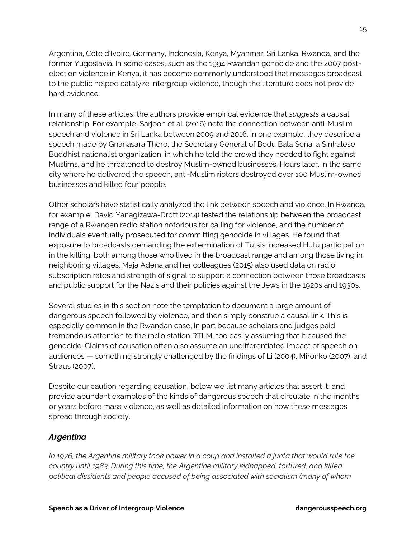Argentina, Côte d'Ivoire*,* Germany, Indonesia, Kenya, Myanmar, Sri Lanka, Rwanda, and the former Yugoslavia. In some cases, such as the 1994 Rwandan genocide and the 2007 postelection violence in Kenya, it has become commonly understood that messages broadcast to the public helped catalyze intergroup violence, though the literature does not provide hard evidence.

In many of these articles, the authors provide empirical evidence that *suggests* a causal relationship. For example, Sarjoon et al. (2016) note the connection between anti-Muslim speech and violence in Sri Lanka between 2009 and 2016. In one example, they describe a speech made by Gnanasara Thero, the Secretary General of Bodu Bala Sena, a Sinhalese Buddhist nationalist organization, in which he told the crowd they needed to fight against Muslims, and he threatened to destroy Muslim-owned businesses. Hours later, in the same city where he delivered the speech, anti-Muslim rioters destroyed over 100 Muslim-owned businesses and killed four people.

Other scholars have statistically analyzed the link between speech and violence. In Rwanda, for example, David Yanagizawa-Drott (2014) tested the relationship between the broadcast range of a Rwandan radio station notorious for calling for violence, and the number of individuals eventually prosecuted for committing genocide in villages. He found that exposure to broadcasts demanding the extermination of Tutsis increased Hutu participation in the killing, both among those who lived in the broadcast range and among those living in neighboring villages. Maja Adena and her colleagues (2015) also used data on radio subscription rates and strength of signal to support a connection between those broadcasts and public support for the Nazis and their policies against the Jews in the 1920s and 1930s.

Several studies in this section note the temptation to document a large amount of dangerous speech followed by violence, and then simply construe a causal link. This is especially common in the Rwandan case, in part because scholars and judges paid tremendous attention to the radio station RTLM, too easily assuming that it caused the genocide. Claims of causation often also assume an undifferentiated impact of speech on audiences — something strongly challenged by the findings of Li (2004), Mironko (2007), and Straus (2007).

Despite our caution regarding causation, below we list many articles that assert it, and provide abundant examples of the kinds of dangerous speech that circulate in the months or years before mass violence, as well as detailed information on how these messages spread through society.

## *Argentina*

*In 1976, the Argentine military took power in a coup and installed a junta that would rule the country until 1983. During this time, the Argentine military kidnapped, tortured, and killed political dissidents and people accused of being associated with socialism (many of whom*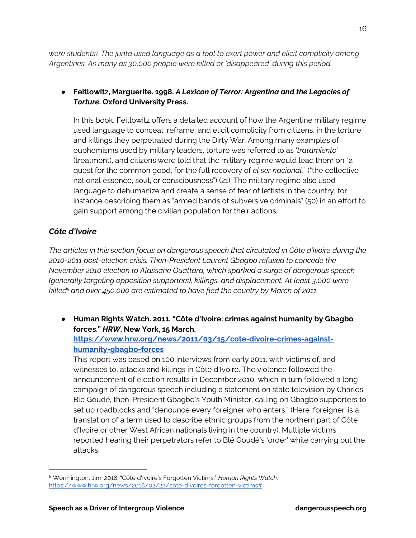*were students). The junta used language as a tool to exert power and elicit complicity among Argentines. As many as 30,000 people were killed or 'disappeared' during this period.*

## ● **Feitlowitz, Marguerite. 1998.** *A Lexicon of Terror: Argentina and the Legacies of Torture***. Oxford University Press.**

In this book, Feitlowitz offers a detailed account of how the Argentine military regime used language to conceal, reframe, and elicit complicity from citizens, in the torture and killings they perpetrated during the Dirty War. Among many examples of euphemisms used by military leaders, torture was referred to as '*tratamiento*' (treatment), and citizens were told that the military regime would lead them on "a quest for the common good, for the full recovery of *el ser nacional,*" ("the collective national essence, soul, or consciousness") (21). The military regime also used language to dehumanize and create a sense of fear of leftists in the country, for instance describing them as "armed bands of subversive criminals" (50) in an effort to gain support among the civilian population for their actions.

# *Côte d'Ivoire*

*The articles in this section focus on dangerous speech that circulated in Côte d'Ivoire during the 2010-2011 post-election crisis. Then-President Laurent Gbagbo refused to concede the November 2010 election to Alassane Ouattara, which sparked a surge of dangerous speech (generally targeting opposition supporters), killings, and displacement. At least 3,000 were killed<sup>5</sup> and over 450,000 are estimated to have fled the country by March of 2011.* 

● **Human Rights Watch. 2011. "Côte d'Ivoire: crimes against humanity by Gbagbo forces."** *HRW***, New York, 15 March.** 

### **https://www.hrw.org/news/2011/03/15/cote-divoire-crimes-againsthumanity-gbagbo-forces**

This report was based on 100 interviews from early 2011, with victims of, and witnesses to, attacks and killings in Côte d'Ivoire. The violence followed the announcement of election results in December 2010, which in turn followed a long campaign of dangerous speech including a statement on state television by Charles Blé Goudé, then-President Gbagbo's Youth Minister, calling on Gbagbo supporters to set up roadblocks and "denounce every foreigner who enters." (Here 'foreigner' is a translation of a term used to describe ethnic groups from the northern part of Côte d'Ivoire or other West African nationals living in the country). Multiple victims reported hearing their perpetrators refer to Blé Goudé's 'order' while carrying out the attacks.

<sup>5</sup> Wormington, Jim. 2018. "Côte d'Ivoire's Forgotten Victims." *Human Rights Watch.*  https://www.hrw.org/news/2018/02/23/cote-divoires-forgotten-victims#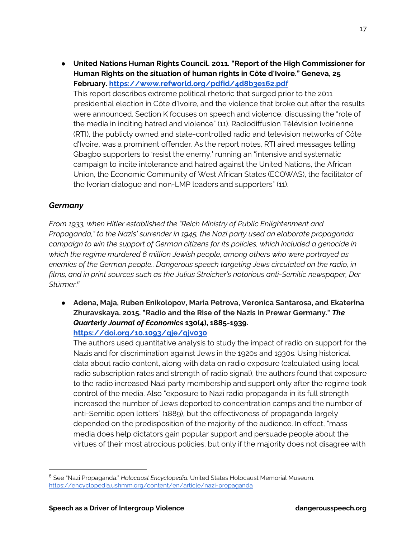● **United Nations Human Rights Council. 2011. "Report of the High Commissioner for Human Rights on the situation of human rights in Côte d'Ivoire." Geneva, 25 February. https://www.refworld.org/pdfid/4d8b3e162.pdf**  This report describes extreme political rhetoric that surged prior to the 2011 presidential election in Côte d'Ivoire, and the violence that broke out after the results were announced. Section K focuses on speech and violence, discussing the "role of the media in inciting hatred and violence" (11). Radiodiffusion Télévision Ivoirienne (RTI), the publicly owned and state-controlled radio and television networks of Côte d'Ivoire, was a prominent offender. As the report notes, RTI aired messages telling Gbagbo supporters to 'resist the enemy,' running an "intensive and systematic campaign to incite intolerance and hatred against the United Nations, the African Union, the Economic Community of West African States (ECOWAS), the facilitator of the Ivorian dialogue and non-LMP leaders and supporters" (11).

### *Germany*

*From 1933, when Hitler established the "Reich Ministry of Public Enlightenment and Propaganda," to the Nazis' surrender in 1945, the Nazi party used an elaborate propaganda campaign to win the support of German citizens for its policies, which included a genocide in which the regime murdered 6 million Jewish people, among others who were portrayed as enemies of the German people.. Dangerous speech targeting Jews circulated on the radio, in films, and in print sources such as the Julius Streicher's notorious anti-Semitic newspaper, Der Stürmer.<sup>6</sup>* 

● **Adena, Maja, Ruben Enikolopov, Maria Petrova, Veronica Santarosa, and Ekaterina Zhuravskaya. 2015. "Radio and the Rise of the Nazis in Prewar Germany."** *The Quarterly Journal of Economics* **130(4), 1885-1939. https://doi.org/10.1093/qje/qjv030**

The authors used quantitative analysis to study the impact of radio on support for the Nazis and for discrimination against Jews in the 1920s and 1930s. Using historical data about radio content, along with data on radio exposure (calculated using local radio subscription rates and strength of radio signal), the authors found that exposure to the radio increased Nazi party membership and support only after the regime took control of the media. Also "exposure to Nazi radio propaganda in its full strength increased the number of Jews deported to concentration camps and the number of anti-Semitic open letters" (1889), but the effectiveness of propaganda largely depended on the predisposition of the majority of the audience. In effect, "mass media does help dictators gain popular support and persuade people about the virtues of their most atrocious policies, but only if the majority does not disagree with

<sup>6</sup> See "Nazi Propaganda." *Holocaust Encyclopedia.* United States Holocaust Memorial Museum. https://encyclopedia.ushmm.org/content/en/article/nazi-propaganda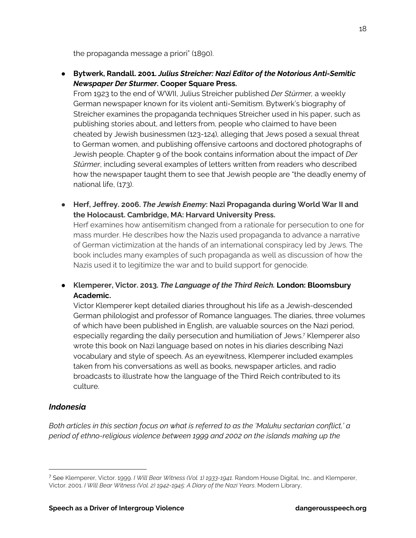the propaganda message a priori" (1890).

● **Bytwerk, Randall. 2001.** *Julius Streicher: Nazi Editor of the Notorious Anti-Semitic Newspaper Der Sturmer***. Cooper Square Press.** 

From 1923 to the end of WWII, Julius Streicher published *Der Stürmer,* a weekly German newspaper known for its violent anti-Semitism. Bytwerk's biography of Streicher examines the propaganda techniques Streicher used in his paper, such as publishing stories about, and letters from, people who claimed to have been cheated by Jewish businessmen (123-124), alleging that Jews posed a sexual threat to German women, and publishing offensive cartoons and doctored photographs of Jewish people. Chapter 9 of the book contains information about the impact of *Der Stürmer*, including several examples of letters written from readers who described how the newspaper taught them to see that Jewish people are "the deadly enemy of national life, (173).

● **Herf, Jeffrey. 2006.** *The Jewish Enemy***: Nazi Propaganda during World War II and the Holocaust. Cambridge, MA: Harvard University Press.** 

Herf examines how antisemitism changed from a rationale for persecution to one for mass murder. He describes how the Nazis used propaganda to advance a narrative of German victimization at the hands of an international conspiracy led by Jews. The book includes many examples of such propaganda as well as discussion of how the Nazis used it to legitimize the war and to build support for genocide.

● **Klemperer, Victor. 2013.** *The Language of the Third Reich.* **London: Bloomsbury Academic.** 

Victor Klemperer kept detailed diaries throughout his life as a Jewish-descended German philologist and professor of Romance languages. The diaries, three volumes of which have been published in English, are valuable sources on the Nazi period, especially regarding the daily persecution and humiliation of Jews.<sup>7</sup> Klemperer also wrote this book on Nazi language based on notes in his diaries describing Nazi vocabulary and style of speech. As an eyewitness, Klemperer included examples taken from his conversations as well as books, newspaper articles, and radio broadcasts to illustrate how the language of the Third Reich contributed to its culture.

#### *Indonesia*

*Both articles in this section focus on what is referred to as the 'Maluku sectarian conflict,' a period of ethno-religious violence between 1999 and 2002 on the islands making up the* 

<sup>7</sup> See Klemperer, Victor. 1999. *I Will Bear Witness (Vol. 1) 1933-1941*. Random House Digital, Inc.. and Klemperer, Victor. 2001. *I Will Bear Witness (Vol. 2) 1942-1945: A Diary of the Nazi Years*. Modern Library,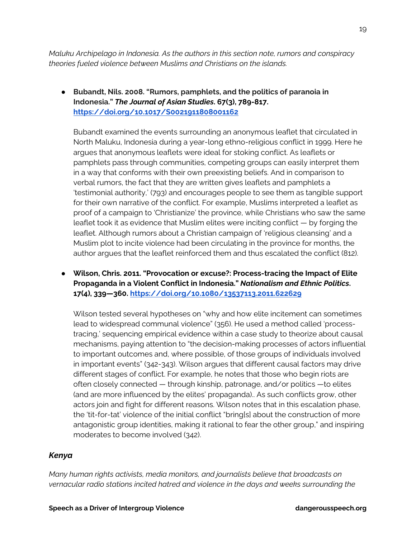*Maluku Archipelago in Indonesia. As the authors in this section note, rumors and conspiracy theories fueled violence between Muslims and Christians on the islands.* 

● **Bubandt, Nils. 2008. "Rumors, pamphlets, and the politics of paranoia in Indonesia."** *The Journal of Asian Studies***. 67(3), 789-817. https://doi.org/10.1017/S0021911808001162** 

Bubandt examined the events surrounding an anonymous leaflet that circulated in North Maluku, Indonesia during a year-long ethno-religious conflict in 1999. Here he argues that anonymous leaflets were ideal for stoking conflict. As leaflets or pamphlets pass through communities, competing groups can easily interpret them in a way that conforms with their own preexisting beliefs. And in comparison to verbal rumors, the fact that they are written gives leaflets and pamphlets a 'testimonial authority,' (793) and encourages people to see them as tangible support for their own narrative of the conflict. For example, Muslims interpreted a leaflet as proof of a campaign to 'Christianize' the province, while Christians who saw the same leaflet took it as evidence that Muslim elites were inciting conflict — by forging the leaflet. Although rumors about a Christian campaign of 'religious cleansing' and a Muslim plot to incite violence had been circulating in the province for months, the author argues that the leaflet reinforced them and thus escalated the conflict (812).

● **Wilson, Chris. 2011. "Provocation or excuse?: Process-tracing the Impact of Elite Propaganda in a Violent Conflict in Indonesia."** *Nationalism and Ethnic Politics***. 17(4), 339—360. https://doi.org/10.1080/13537113.2011.622629** 

Wilson tested several hypotheses on "why and how elite incitement can sometimes lead to widespread communal violence" (356). He used a method called 'processtracing,' sequencing empirical evidence within a case study to theorize about causal mechanisms, paying attention to "the decision-making processes of actors influential to important outcomes and, where possible, of those groups of individuals involved in important events" (342-343). Wilson argues that different causal factors may drive different stages of conflict. For example, he notes that those who begin riots are often closely connected — through kinship, patronage, and/or politics —to elites (and are more influenced by the elites' propaganda).. As such conflicts grow, other actors join and fight for different reasons. Wilson notes that in this escalation phase, the 'tit-for-tat' violence of the initial conflict "bring[s] about the construction of more antagonistic group identities, making it rational to fear the other group," and inspiring moderates to become involved (342).

#### *Kenya*

*Many human rights activists, media monitors, and journalists believe that broadcasts on vernacular radio stations incited hatred and violence in the days and weeks surrounding the*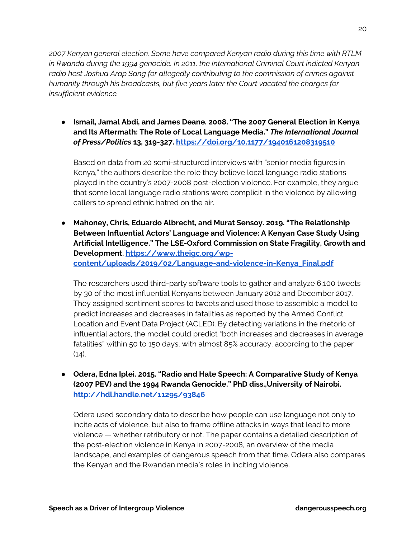*2007 Kenyan general election. Some have compared Kenyan radio during this time with RTLM in Rwanda during the 1994 genocide. In 2011, the International Criminal Court indicted Kenyan radio host Joshua Arap Sang for allegedly contributing to the commission of crimes against humanity through his broadcasts, but five years later the Court vacated the charges for insufficient evidence.* 

● **Ismail, Jamal Abdi, and James Deane. 2008. "The 2007 General Election in Kenya and Its Aftermath: The Role of Local Language Media."** *The International Journal of Press/Politics* **13, 319-327. https://doi.org/10.1177/1940161208319510** 

Based on data from 20 semi-structured interviews with "senior media figures in Kenya," the authors describe the role they believe local language radio stations played in the country's 2007-2008 post-election violence. For example, they argue that some local language radio stations were complicit in the violence by allowing callers to spread ethnic hatred on the air.

● **Mahoney, Chris, Eduardo Albrecht, and Murat Sensoy. 2019. "The Relationship Between Influential Actors' Language and Violence: A Kenyan Case Study Using Artificial Intelligence." The LSE-Oxford Commission on State Fragility, Growth and Development. https://www.theigc.org/wpcontent/uploads/2019/02/Language-and-violence-in-Kenya\_Final.pdf** 

The researchers used third-party software tools to gather and analyze 6,100 tweets by 30 of the most influential Kenyans between January 2012 and December 2017. They assigned sentiment scores to tweets and used those to assemble a model to predict increases and decreases in fatalities as reported by the Armed Conflict Location and Event Data Project (ACLED). By detecting variations in the rhetoric of influential actors, the model could predict "both increases and decreases in average fatalities" within 50 to 150 days, with almost 85% accuracy, according to the paper  $(14)$ .

● **Odera, Edna Iplei. 2015. "Radio and Hate Speech: A Comparative Study of Kenya (2007 PEV) and the 1994 Rwanda Genocide." PhD diss.,University of Nairobi. http://hdl.handle.net/11295/93846**

Odera used secondary data to describe how people can use language not only to incite acts of violence, but also to frame offline attacks in ways that lead to more violence — whether retributory or not. The paper contains a detailed description of the post-election violence in Kenya in 2007-2008, an overview of the media landscape, and examples of dangerous speech from that time. Odera also compares the Kenyan and the Rwandan media's roles in inciting violence.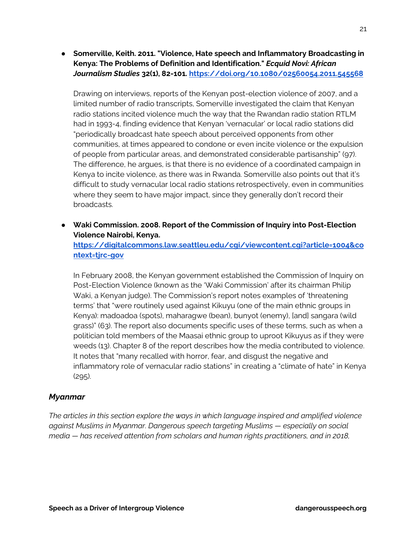● **Somerville, Keith. 2011. "Violence, Hate speech and Inflammatory Broadcasting in Kenya: The Problems of Definition and Identification."** *Ecquid Novi: African Journalism Studies* **32(1), 82-101. https://doi.org/10.1080/02560054.2011.545568** 

Drawing on interviews, reports of the Kenyan post-election violence of 2007, and a limited number of radio transcripts, Somerville investigated the claim that Kenyan radio stations incited violence much the way that the Rwandan radio station RTLM had in 1993-4, finding evidence that Kenyan 'vernacular' or local radio stations did "periodically broadcast hate speech about perceived opponents from other communities, at times appeared to condone or even incite violence or the expulsion of people from particular areas, and demonstrated considerable partisanship" (97). The difference, he argues, is that there is no evidence of a coordinated campaign in Kenya to incite violence, as there was in Rwanda. Somerville also points out that it's difficult to study vernacular local radio stations retrospectively, even in communities where they seem to have major impact, since they generally don't record their broadcasts.

● **Waki Commission. 2008. Report of the Commission of Inquiry into Post-Election Violence Nairobi, Kenya.** 

**https://digitalcommons.law.seattleu.edu/cgi/viewcontent.cgi?article=1004&co ntext=tjrc-gov** 

In February 2008, the Kenyan government established the Commission of Inquiry on Post-Election Violence (known as the 'Waki Commission' after its chairman Philip Waki, a Kenyan judge). The Commission's report notes examples of 'threatening terms' that "were routinely used against Kikuyu (one of the main ethnic groups in Kenya): madoadoa (spots), maharagwe (bean), bunyot (enemy), [and] sangara (wild grass)" (63). The report also documents specific uses of these terms, such as when a politician told members of the Maasai ethnic group to uproot Kikuyus as if they were weeds (13). Chapter 8 of the report describes how the media contributed to violence. It notes that "many recalled with horror, fear, and disgust the negative and inflammatory role of vernacular radio stations" in creating a "climate of hate" in Kenya (295).

#### *Myanmar*

*The articles in this section explore the ways in which language inspired and amplified violence against Muslims in Myanmar. Dangerous speech targeting Muslims — especially on social media — has received attention from scholars and human rights practitioners, and in 2018,*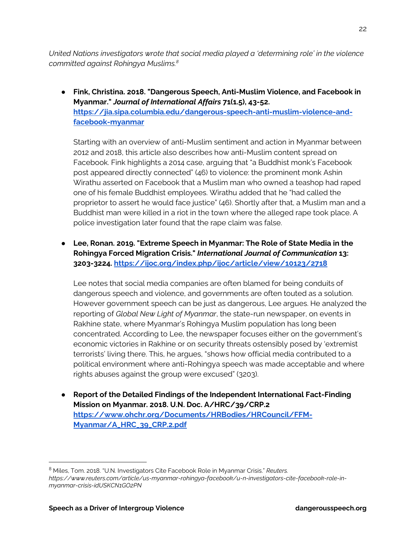*United Nations investigators wrote that social media played a 'determining role' in the violence committed against Rohingya Muslims.<sup>8</sup>* 

● **Fink, Christina. 2018. "Dangerous Speech, Anti-Muslim Violence, and Facebook in Myanmar."** *Journal of International Affairs* **71(1.5), 43-52. https://jia.sipa.columbia.edu/dangerous-speech-anti-muslim-violence-andfacebook-myanmar** 

Starting with an overview of anti-Muslim sentiment and action in Myanmar between 2012 and 2018, this article also describes how anti-Muslim content spread on Facebook. Fink highlights a 2014 case, arguing that "a Buddhist monk's Facebook post appeared directly connected" (46) to violence: the prominent monk Ashin Wirathu asserted on Facebook that a Muslim man who owned a teashop had raped one of his female Buddhist employees. Wirathu added that he "had called the proprietor to assert he would face justice" (46). Shortly after that, a Muslim man and a Buddhist man were killed in a riot in the town where the alleged rape took place. A police investigation later found that the rape claim was false.

● **Lee, Ronan. 2019. "Extreme Speech in Myanmar: The Role of State Media in the Rohingya Forced Migration Crisis."** *International Journal of Communication* **13: 3203-3224. https://ijoc.org/index.php/ijoc/article/view/10123/2718** 

Lee notes that social media companies are often blamed for being conduits of dangerous speech and violence, and governments are often touted as a solution. However government speech can be just as dangerous, Lee argues. He analyzed the reporting of *Global New Light of Myanmar*, the state-run newspaper, on events in Rakhine state, where Myanmar's Rohingya Muslim population has long been concentrated. According to Lee, the newspaper focuses either on the government's economic victories in Rakhine or on security threats ostensibly posed by 'extremist terrorists' living there. This, he argues, "shows how official media contributed to a political environment where anti-Rohingya speech was made acceptable and where rights abuses against the group were excused" (3203).

● **Report of the Detailed Findings of the Independent International Fact-Finding Mission on Myanmar. 2018. U.N. Doc. A/HRC/39/CRP.2 https://www.ohchr.org/Documents/HRBodies/HRCouncil/FFM-Myanmar/A\_HRC\_39\_CRP.2.pdf** 

<sup>8</sup> Miles, Tom. 2018. "U.N. Investigators Cite Facebook Role in Myanmar Crisis." *Reuters. https://www.reuters.com/article/us-myanmar-rohingya-facebook/u-n-investigators-cite-facebook-role-inmyanmar-crisis-idUSKCN1GO2PN*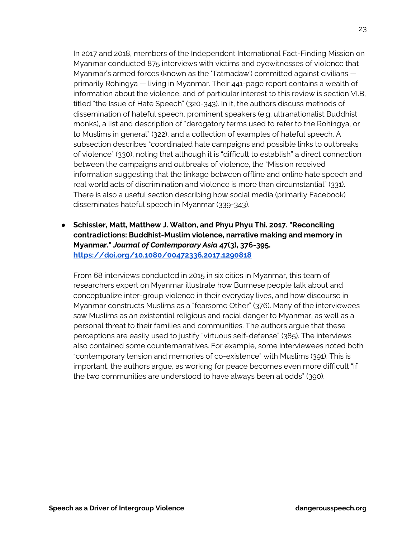In 2017 and 2018, members of the Independent International Fact-Finding Mission on Myanmar conducted 875 interviews with victims and eyewitnesses of violence that Myanmar's armed forces (known as the 'Tatmadaw') committed against civilians  primarily Rohingya *—* living in Myanmar. Their 441-page report contains a wealth of information about the violence, and of particular interest to this review is section VI.B, titled "the Issue of Hate Speech" (320-343). In it, the authors discuss methods of dissemination of hateful speech, prominent speakers (e.g. ultranationalist Buddhist monks), a list and description of "derogatory terms used to refer to the Rohingya, or to Muslims in general" (322), and a collection of examples of hateful speech. A subsection describes "coordinated hate campaigns and possible links to outbreaks of violence" (330), noting that although it is "difficult to establish" a direct connection between the campaigns and outbreaks of violence, the "Mission received information suggesting that the linkage between offline and online hate speech and real world acts of discrimination and violence is more than circumstantial" (331). There is also a useful section describing how social media (primarily Facebook) disseminates hateful speech in Myanmar (339-343).

● **Schissler, Matt, Matthew J. Walton, and Phyu Phyu Thi. 2017. "Reconciling contradictions: Buddhist-Muslim violence, narrative making and memory in Myanmar."** *Journal of Contemporary Asia* **47(3), 376-395. https://doi.org/10.1080/00472336.2017.1290818** 

From 68 interviews conducted in 2015 in six cities in Myanmar, this team of researchers expert on Myanmar illustrate how Burmese people talk about and conceptualize inter-group violence in their everyday lives, and how discourse in Myanmar constructs Muslims as a "fearsome Other" (376). Many of the interviewees saw Muslims as an existential religious and racial danger to Myanmar, as well as a personal threat to their families and communities. The authors argue that these perceptions are easily used to justify "virtuous self-defense" (385). The interviews also contained some counternarratives. For example, some interviewees noted both "contemporary tension and memories of co-existence" with Muslims (391). This is important, the authors argue, as working for peace becomes even more difficult "if the two communities are understood to have always been at odds" (390).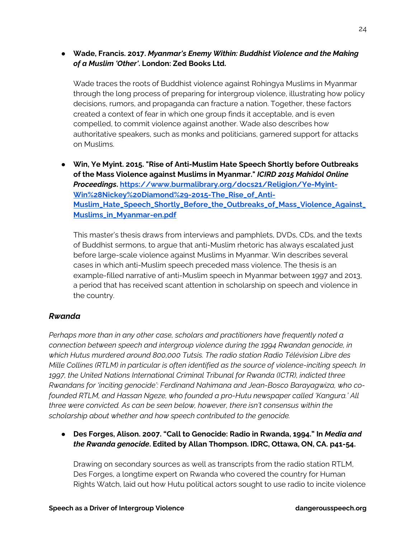● **Wade, Francis. 2017.** *Myanmar's Enemy Within: Buddhist Violence and the Making of a Muslim 'Other'***. London: Zed Books Ltd.** 

Wade traces the roots of Buddhist violence against Rohingya Muslims in Myanmar through the long process of preparing for intergroup violence, illustrating how policy decisions, rumors, and propaganda can fracture a nation. Together, these factors created a context of fear in which one group finds it acceptable, and is even compelled, to commit violence against another. Wade also describes how authoritative speakers, such as monks and politicians, garnered support for attacks on Muslims.

● **Win, Ye Myint. 2015. "Rise of Anti-Muslim Hate Speech Shortly before Outbreaks of the Mass Violence against Muslims in Myanmar."** *ICIRD 2015 Mahidol Online Proceedings***. https://www.burmalibrary.org/docs21/Religion/Ye-Myint-Win%28Nickey%20Diamond%29-2015-The\_Rise\_of\_Anti-Muslim\_Hate\_Speech\_Shortly\_Before\_the\_Outbreaks\_of\_Mass\_Violence\_Against\_ Muslims\_in\_Myanmar-en.pdf** 

This master's thesis draws from interviews and pamphlets, DVDs, CDs, and the texts of Buddhist sermons, to argue that anti-Muslim rhetoric has always escalated just before large-scale violence against Muslims in Myanmar. Win describes several cases in which anti-Muslim speech preceded mass violence. The thesis is an example-filled narrative of anti-Muslim speech in Myanmar between 1997 and 2013, a period that has received scant attention in scholarship on speech and violence in the country.

#### *Rwanda*

*Perhaps more than in any other case, scholars and practitioners have frequently noted a connection between speech and intergroup violence during the 1994 Rwandan genocide, in which Hutus murdered around 800,000 Tutsis. The radio station Radio Télévision Libre des Mille Collines (RTLM) in particular is often identified as the source of violence-inciting speech. In 1997, the United Nations International Criminal Tribunal for Rwanda (ICTR), indicted three Rwandans for 'inciting genocide': Ferdinand Nahimana and Jean-Bosco Barayagwiza, who cofounded RTLM, and Hassan Ngeze, who founded a pro-Hutu newspaper called 'Kangura.' All three were convicted. As can be seen below, however, there isn't consensus within the scholarship about whether and how speech contributed to the genocide.* 

● **Des Forges, Alison. 2007. "Call to Genocide: Radio in Rwanda, 1994." In** *Media and the Rwanda genocide***. Edited by Allan Thompson. IDRC, Ottawa, ON, CA. p41-54.** 

Drawing on secondary sources as well as transcripts from the radio station RTLM, Des Forges, a longtime expert on Rwanda who covered the country for Human Rights Watch, laid out how Hutu political actors sought to use radio to incite violence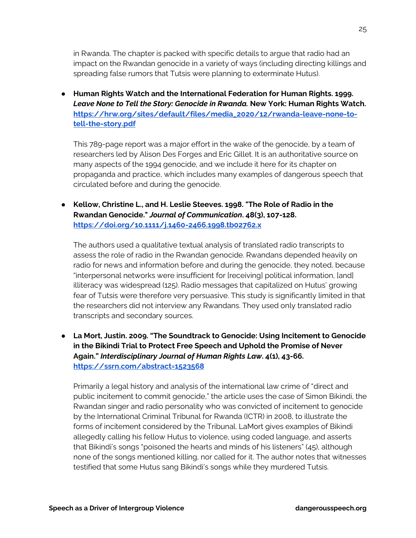in Rwanda. The chapter is packed with specific details to argue that radio had an impact on the Rwandan genocide in a variety of ways (including directing killings and spreading false rumors that Tutsis were planning to exterminate Hutus).

● **Human Rights Watch and the International Federation for Human Rights. 1999.**  *Leave None to Tell the Story: Genocide in Rwanda.* **New York: Human Rights Watch. https://hrw.org/sites/default/files/media\_2020/12/rwanda-leave-none-totell-the-story.pdf**

This 789-page report was a major effort in the wake of the genocide, by a team of researchers led by Alison Des Forges and Eric Gillet. It is an authoritative source on many aspects of the 1994 genocide, and we include it here for its chapter on propaganda and practice, which includes many examples of dangerous speech that circulated before and during the genocide.

● **Kellow, Christine L., and H. Leslie Steeves. 1998. "The Role of Radio in the Rwandan Genocide."** *Journal of Communication***. 48(3), 107-128. https://doi.org/10.1111/j.1460-2466.1998.tb02762.x** 

The authors used a qualitative textual analysis of translated radio transcripts to assess the role of radio in the Rwandan genocide. Rwandans depended heavily on radio for news and information before and during the genocide, they noted, because "interpersonal networks were insufficient for [receiving] political information, [and] illiteracy was widespread (125). Radio messages that capitalized on Hutus' growing fear of Tutsis were therefore very persuasive. This study is significantly limited in that the researchers did not interview any Rwandans. They used only translated radio transcripts and secondary sources.

● **La Mort, Justin. 2009. "The Soundtrack to Genocide: Using Incitement to Genocide in the Bikindi Trial to Protect Free Speech and Uphold the Promise of Never Again."** *Interdisciplinary Journal of Human Rights Law***. 4(1), 43-66. https://ssrn.com/abstract=1523568**

Primarily a legal history and analysis of the international law crime of "direct and public incitement to commit genocide," the article uses the case of Simon Bikindi, the Rwandan singer and radio personality who was convicted of incitement to genocide by the International Criminal Tribunal for Rwanda (ICTR) in 2008, to illustrate the forms of incitement considered by the Tribunal. LaMort gives examples of Bikindi allegedly calling his fellow Hutus to violence, using coded language, and asserts that Bikindi's songs "poisoned the hearts and minds of his listeners" (45), although none of the songs mentioned killing, nor called for it. The author notes that witnesses testified that some Hutus sang Bikindi's songs while they murdered Tutsis.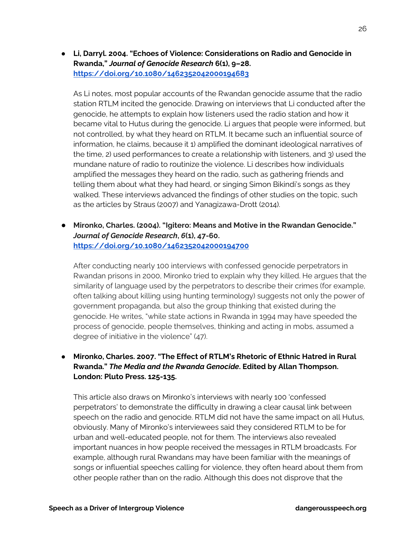● **Li, Darryl. 2004. "Echoes of Violence: Considerations on Radio and Genocide in Rwanda,"** *Journal of Genocide Research* **6(1), 9–28. https://doi.org/10.1080/1462352042000194683** 

As Li notes, most popular accounts of the Rwandan genocide assume that the radio station RTLM incited the genocide. Drawing on interviews that Li conducted after the genocide, he attempts to explain how listeners used the radio station and how it became vital to Hutus during the genocide. Li argues that people were informed, but not controlled, by what they heard on RTLM. It became such an influential source of information, he claims, because it 1) amplified the dominant ideological narratives of the time, 2) used performances to create a relationship with listeners, and 3) used the mundane nature of radio to routinize the violence. Li describes how individuals amplified the messages they heard on the radio, such as gathering friends and telling them about what they had heard, or singing Simon Bikindi's songs as they walked. These interviews advanced the findings of other studies on the topic, such as the articles by Straus (2007) and Yanagizawa-Drott (2014).

● **Mironko, Charles. (2004). "Igitero: Means and Motive in the Rwandan Genocide."**  *Journal of Genocide Research***,** *6***(1), 47-60. https://doi.org/10.1080/1462352042000194700** 

After conducting nearly 100 interviews with confessed genocide perpetrators in Rwandan prisons in 2000, Mironko tried to explain why they killed. He argues that the similarity of language used by the perpetrators to describe their crimes (for example, often talking about killing using hunting terminology) suggests not only the power of government propaganda, but also the group thinking that existed during the genocide. He writes, "while state actions in Rwanda in 1994 may have speeded the process of genocide, people themselves, thinking and acting in mobs, assumed a degree of initiative in the violence" (47).

## ● **Mironko, Charles. 2007. "The Effect of RTLM's Rhetoric of Ethnic Hatred in Rural Rwanda."** *The Media and the Rwanda Genocide***. Edited by Allan Thompson. London: Pluto Press. 125-135.**

This article also draws on Mironko's interviews with nearly 100 'confessed perpetrators' to demonstrate the difficulty in drawing a clear causal link between speech on the radio and genocide. RTLM did not have the same impact on all Hutus, obviously. Many of Mironko's interviewees said they considered RTLM to be for urban and well-educated people, not for them. The interviews also revealed important nuances in how people received the messages in RTLM broadcasts. For example, although rural Rwandans may have been familiar with the meanings of songs or influential speeches calling for violence, they often heard about them from other people rather than on the radio. Although this does not disprove that the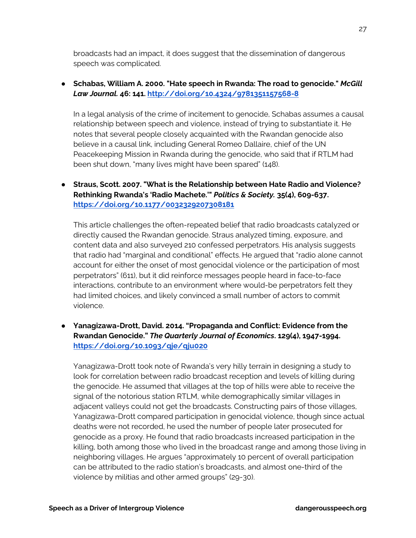broadcasts had an impact, it does suggest that the dissemination of dangerous speech was complicated.

#### ● **Schabas, William A. 2000. "Hate speech in Rwanda: The road to genocide."** *McGill Law Journal.* **46: 141. http://doi.org/10.4324/9781351157568-8**

In a legal analysis of the crime of incitement to genocide, Schabas assumes a causal relationship between speech and violence, instead of trying to substantiate it. He notes that several people closely acquainted with the Rwandan genocide also believe in a causal link, including General Romeo Dallaire, chief of the UN Peacekeeping Mission in Rwanda during the genocide, who said that if RTLM had been shut down, "many lives might have been spared" (148).

● **Straus, Scott. 2007. "What is the Relationship between Hate Radio and Violence? Rethinking Rwanda's 'Radio Machete.'"** *Politics & Society.* **35(4), 609-637. https://doi.org/10.1177/0032329207308181** 

This article challenges the often-repeated belief that radio broadcasts catalyzed or directly caused the Rwandan genocide. Straus analyzed timing, exposure, and content data and also surveyed 210 confessed perpetrators. His analysis suggests that radio had "marginal and conditional" effects. He argued that "radio alone cannot account for either the onset of most genocidal violence or the participation of most perpetrators" (611), but it did reinforce messages people heard in face-to-face interactions, contribute to an environment where would-be perpetrators felt they had limited choices, and likely convinced a small number of actors to commit violence.

● **Yanagizawa-Drott, David. 2014. "Propaganda and Conflict: Evidence from the Rwandan Genocide."** *The Quarterly Journal of Economics***. 129(4), 1947-1994. https://doi.org/10.1093/qje/qju020** 

Yanagizawa-Drott took note of Rwanda's very hilly terrain in designing a study to look for correlation between radio broadcast reception and levels of killing during the genocide. He assumed that villages at the top of hills were able to receive the signal of the notorious station RTLM, while demographically similar villages in adjacent valleys could not get the broadcasts. Constructing pairs of those villages, Yanagizawa-Drott compared participation in genocidal violence, though since actual deaths were not recorded, he used the number of people later prosecuted for genocide as a proxy. He found that radio broadcasts increased participation in the killing, both among those who lived in the broadcast range and among those living in neighboring villages. He argues "approximately 10 percent of overall participation can be attributed to the radio station's broadcasts, and almost one-third of the violence by militias and other armed groups" (29-30).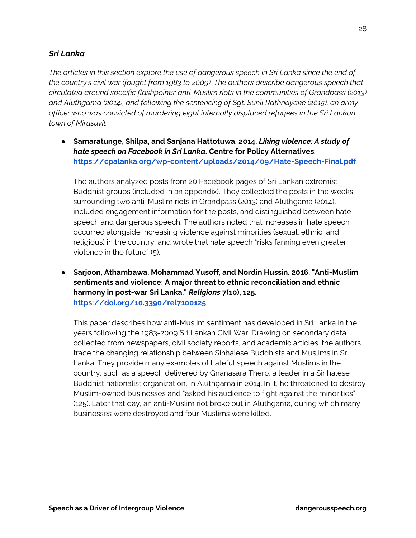#### *Sri Lanka*

*The articles in this section explore the use of dangerous speech in Sri Lanka since the end of the country's civil war (fought from 1983 to 2009). The authors describe dangerous speech that circulated around specific flashpoints: anti-Muslim riots in the communities of Grandpass (2013) and Aluthgama (2014), and following the sentencing of Sgt. Sunil Rathnayake (2015), an army officer who was convicted of murdering eight internally displaced refugees in the Sri Lankan town of Mirusuvil.* 

● **Samaratunge, Shilpa, and Sanjana Hattotuwa. 2014.** *Liking violence: A study of hate speech on Facebook in Sri Lanka***. Centre for Policy Alternatives. https://cpalanka.org/wp-content/uploads/2014/09/Hate-Speech-Final.pdf**

The authors analyzed posts from 20 Facebook pages of Sri Lankan extremist Buddhist groups (included in an appendix). They collected the posts in the weeks surrounding two anti-Muslim riots in Grandpass (2013) and Aluthgama (2014), included engagement information for the posts, and distinguished between hate speech and dangerous speech. The authors noted that increases in hate speech occurred alongside increasing violence against minorities (sexual, ethnic, and religious) in the country, and wrote that hate speech "risks fanning even greater violence in the future" (5).

● **Sarjoon, Athambawa, Mohammad Yusoff, and Nordin Hussin. 2016. "Anti-Muslim sentiments and violence: A major threat to ethnic reconciliation and ethnic harmony in post-war Sri Lanka."** *Religions* **7(10), 125. https://doi.org/10.3390/rel7100125**

This paper describes how anti-Muslim sentiment has developed in Sri Lanka in the years following the 1983-2009 Sri Lankan Civil War. Drawing on secondary data collected from newspapers, civil society reports, and academic articles, the authors trace the changing relationship between Sinhalese Buddhists and Muslims in Sri Lanka. They provide many examples of hateful speech against Muslims in the country, such as a speech delivered by Gnanasara Thero, a leader in a Sinhalese Buddhist nationalist organization, in Aluthgama in 2014. In it, he threatened to destroy Muslim-owned businesses and "asked his audience to fight against the minorities" (125). Later that day, an anti-Muslim riot broke out in Aluthgama, during which many businesses were destroyed and four Muslims were killed.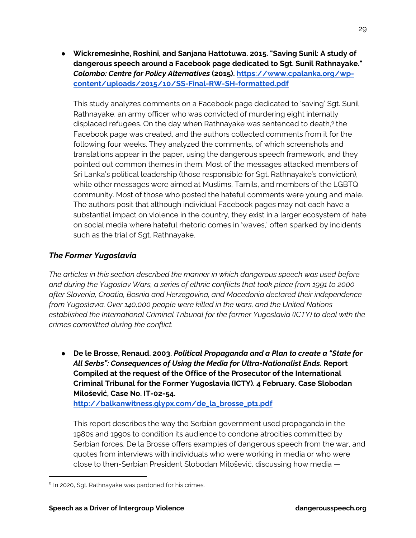● **Wickremesinhe, Roshini, and Sanjana Hattotuwa. 2015. "Saving Sunil: A study of dangerous speech around a Facebook page dedicated to Sgt. Sunil Rathnayake."**  *Colombo: Centre for Policy Alternatives* **(2015). https://www.cpalanka.org/wpcontent/uploads/2015/10/SS-Final-RW-SH-formatted.pdf**

This study analyzes comments on a Facebook page dedicated to 'saving' Sgt. Sunil Rathnayake, an army officer who was convicted of murdering eight internally displaced refugees. On the day when Rathnayake was sentenced to death,<sup>9</sup> the Facebook page was created, and the authors collected comments from it for the following four weeks. They analyzed the comments, of which screenshots and translations appear in the paper, using the dangerous speech framework, and they pointed out common themes in them. Most of the messages attacked members of Sri Lanka's political leadership (those responsible for Sgt. Rathnayake's conviction), while other messages were aimed at Muslims, Tamils, and members of the LGBTQ community. Most of those who posted the hateful comments were young and male. The authors posit that although individual Facebook pages may not each have a substantial impact on violence in the country, they exist in a larger ecosystem of hate on social media where hateful rhetoric comes in 'waves,' often sparked by incidents such as the trial of Sgt. Rathnayake.

# *The Former Yugoslavia*

*The articles in this section described the manner in which dangerous speech was used before and during the Yugoslav Wars, a series of ethnic conflicts that took place from 1991 to 2000 after Slovenia, Croatia, Bosnia and Herzegovina, and Macedonia declared their independence from Yugoslavia. Over 140,000 people were killed in the wars, and the United Nations established the International Criminal Tribunal for the former Yugoslavia (ICTY) to deal with the crimes committed during the conflict.* 

● **De le Brosse, Renaud. 2003.** *Political Propaganda and a Plan to create a "State for All Serbs": Consequences of Using the Media for Ultra-Nationalist Ends.* **Report Compiled at the request of the Office of the Prosecutor of the International Criminal Tribunal for the Former Yugoslavia (ICTY). 4 February. Case Slobodan Milošević, Case No. IT-02-54. http://balkanwitness.glypx.com/de\_la\_brosse\_pt1.pdf** 

This report describes the way the Serbian government used propaganda in the 1980s and 1990s to condition its audience to condone atrocities committed by Serbian forces. De la Brosse offers examples of dangerous speech from the war, and quotes from interviews with individuals who were working in media or who were close to then-Serbian President Slobodan Milošević, discussing how media —

<sup>&</sup>lt;sup>9</sup> In 2020, Sgt. Rathnayake was pardoned for his crimes.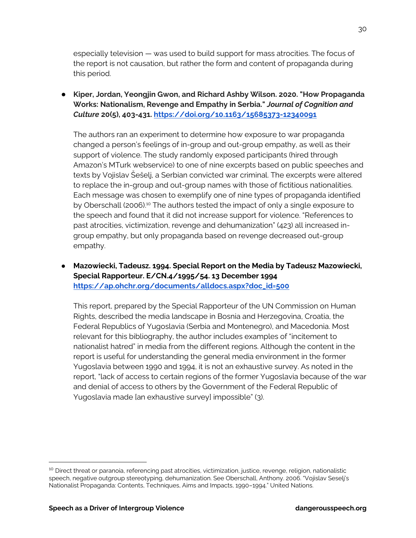especially television — was used to build support for mass atrocities. The focus of the report is not causation, but rather the form and content of propaganda during this period.

● **Kiper, Jordan, Yeongjin Gwon, and Richard Ashby Wilson. 2020. "How Propaganda Works: Nationalism, Revenge and Empathy in Serbia."** *Journal of Cognition and Culture* **20(5), 403-431. https://doi.org/10.1163/15685373-12340091**

The authors ran an experiment to determine how exposure to war propaganda changed a person's feelings of in-group and out-group empathy, as well as their support of violence. The study randomly exposed participants (hired through Amazon's MTurk webservice) to one of nine excerpts based on public speeches and texts by Vojislav Šešelj, a Serbian convicted war criminal. The excerpts were altered to replace the in-group and out-group names with those of fictitious nationalities. Each message was chosen to exemplify one of nine types of propaganda identified by Oberschall (2006).<sup>10</sup> The authors tested the impact of only a single exposure to the speech and found that it did not increase support for violence. "References to past atrocities, victimization, revenge and dehumanization" (423) all increased ingroup empathy, but only propaganda based on revenge decreased out-group empathy.

● **Mazowiecki, Tadeusz. 1994. Special Report on the Media by Tadeusz Mazowiecki, Special Rapporteur. E/CN.4/1995/54. 13 December 1994 https://ap.ohchr.org/documents/alldocs.aspx?doc\_id=500** 

This report, prepared by the Special Rapporteur of the UN Commission on Human Rights, described the media landscape in Bosnia and Herzegovina, Croatia, the Federal Republics of Yugoslavia (Serbia and Montenegro), and Macedonia. Most relevant for this bibliography, the author includes examples of "incitement to nationalist hatred" in media from the different regions. Although the content in the report is useful for understanding the general media environment in the former Yugoslavia between 1990 and 1994, it is not an exhaustive survey. As noted in the report, "lack of access to certain regions of the former Yugoslavia because of the war and denial of access to others by the Government of the Federal Republic of Yugoslavia made [an exhaustive survey] impossible" (3).

<sup>&</sup>lt;sup>10</sup> Direct threat or paranoia, referencing past atrocities, victimization, justice, revenge, religion, nationalistic speech, negative outgroup stereotyping, dehumanization. See Oberschall, Anthony. 2006. "Vojislav Seselj's Nationalist Propaganda: Contents, Techniques, Aims and Impacts, 1990–1994." United Nations.